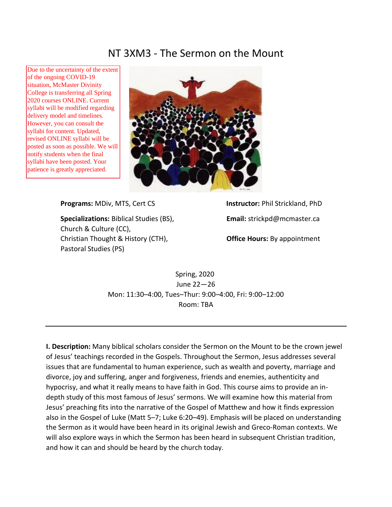# NT 3XM3 - The Sermon on the Mount

Due to the uncertainty of the extent of the ongoing COVID-19 situation, McMaster Divinity College is transferring all Spring 2020 courses ONLINE. Current syllabi will be modified regarding delivery model and timelines. However, you can consult the syllabi for content. Updated, revised ONLINE syllabi will be posted as soon as possible. We will notify students when the final syllabi have been posted. Your patience is greatly appreciated.



**Specializations:** Biblical Studies (BS), **Email:** strickpd@mcmaster.ca Church & Culture (CC), Christian Thought & History (CTH), **Office Hours:** By appointment Pastoral Studies (PS)

**Programs:** MDiv, MTS, Cert CS **Instructor:** Phil Strickland, PhD

Spring, 2020 June 22—26 Mon: 11:30–4:00, Tues–Thur: 9:00–4:00, Fri: 9:00–12:00 Room: TBA

**I. Description:** Many biblical scholars consider the Sermon on the Mount to be the crown jewel of Jesus' teachings recorded in the Gospels. Throughout the Sermon, Jesus addresses several issues that are fundamental to human experience, such as wealth and poverty, marriage and divorce, joy and suffering, anger and forgiveness, friends and enemies, authenticity and hypocrisy, and what it really means to have faith in God. This course aims to provide an indepth study of this most famous of Jesus' sermons. We will examine how this material from Jesus' preaching fits into the narrative of the Gospel of Matthew and how it finds expression also in the Gospel of Luke (Matt 5–7; Luke 6:20–49). Emphasis will be placed on understanding the Sermon as it would have been heard in its original Jewish and Greco-Roman contexts. We will also explore ways in which the Sermon has been heard in subsequent Christian tradition, and how it can and should be heard by the church today.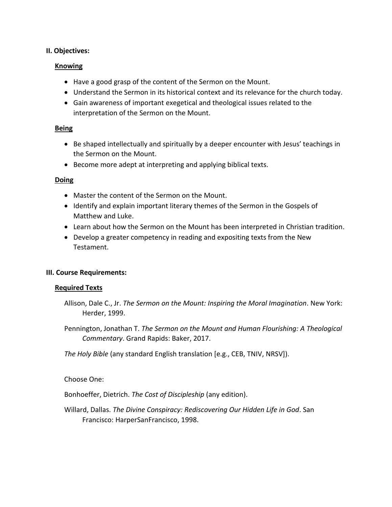### **II. Objectives:**

#### **Knowing**

- Have a good grasp of the content of the Sermon on the Mount.
- Understand the Sermon in its historical context and its relevance for the church today.
- Gain awareness of important exegetical and theological issues related to the interpretation of the Sermon on the Mount.

#### **Being**

- Be shaped intellectually and spiritually by a deeper encounter with Jesus' teachings in the Sermon on the Mount.
- Become more adept at interpreting and applying biblical texts.

#### **Doing**

- Master the content of the Sermon on the Mount.
- Identify and explain important literary themes of the Sermon in the Gospels of Matthew and Luke.
- Learn about how the Sermon on the Mount has been interpreted in Christian tradition.
- Develop a greater competency in reading and expositing texts from the New Testament.

## **III. Course Requirements:**

#### **Required Texts**

- Allison, Dale C., Jr. *The Sermon on the Mount: Inspiring the Moral Imagination*. New York: Herder, 1999.
- Pennington, Jonathan T. *The Sermon on the Mount and Human Flourishing: A Theological Commentary*. Grand Rapids: Baker, 2017.

*The Holy Bible* (any standard English translation [e.g., CEB, TNIV, NRSV]).

## Choose One:

Bonhoeffer, Dietrich. *The Cost of Discipleship* (any edition).

Willard, Dallas. *The Divine Conspiracy: Rediscovering Our Hidden Life in God*. San Francisco: HarperSanFrancisco, 1998.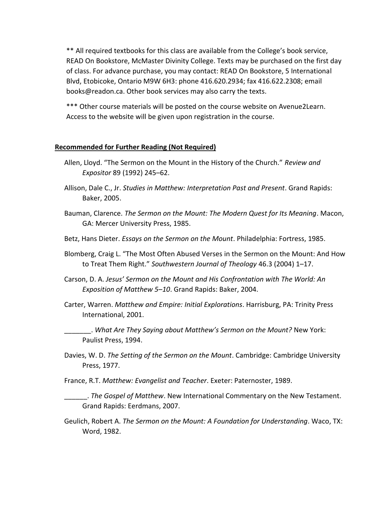\*\* All required textbooks for this class are available from the College's book service, READ On Bookstore, McMaster Divinity College. Texts may be purchased on the first day of class. For advance purchase, you may contact: READ On Bookstore, 5 International Blvd, Etobicoke, Ontario M9W 6H3: phone 416.620.2934; fax 416.622.2308; email books@readon.ca. Other book services may also carry the texts.

\*\*\* Other course materials will be posted on the course website on Avenue2Learn. Access to the website will be given upon registration in the course.

#### **Recommended for Further Reading (Not Required)**

- Allen, Lloyd. "The Sermon on the Mount in the History of the Church." *Review and Expositor* 89 (1992) 245–62.
- Allison, Dale C., Jr. *Studies in Matthew: Interpretation Past and Present*. Grand Rapids: Baker, 2005.
- Bauman, Clarence. *The Sermon on the Mount: The Modern Quest for Its Meaning*. Macon, GA: Mercer University Press, 1985.
- Betz, Hans Dieter. *Essays on the Sermon on the Mount*. Philadelphia: Fortress, 1985.
- Blomberg, Craig L. "The Most Often Abused Verses in the Sermon on the Mount: And How to Treat Them Right." *Southwestern Journal of Theology* 46.3 (2004) 1–17.
- Carson, D. A. *Jesus' Sermon on the Mount and His Confrontation with The World: An Exposition of Matthew 5–10*. Grand Rapids: Baker, 2004.
- Carter, Warren. *Matthew and Empire: Initial Explorations*. Harrisburg, PA: Trinity Press International, 2001.

\_\_\_\_\_\_\_. *What Are They Saying about Matthew's Sermon on the Mount?* New York: Paulist Press, 1994.

- Davies, W. D. *The Setting of the Sermon on the Mount*. Cambridge: Cambridge University Press, 1977.
- France, R.T. *Matthew: Evangelist and Teacher*. Exeter: Paternoster, 1989.
- \_\_\_\_\_\_. *The Gospel of Matthew*. New International Commentary on the New Testament. Grand Rapids: Eerdmans, 2007.
- Geulich, Robert A. *The Sermon on the Mount: A Foundation for Understanding*. Waco, TX: Word, 1982.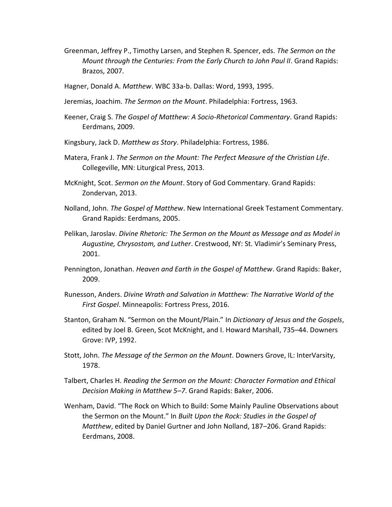- Greenman, Jeffrey P., Timothy Larsen, and Stephen R. Spencer, eds. *The Sermon on the Mount through the Centuries: From the Early Church to John Paul II*. Grand Rapids: Brazos, 2007.
- Hagner, Donald A. *Matthew*. WBC 33a-b. Dallas: Word, 1993, 1995.
- Jeremias, Joachim. *The Sermon on the Mount*. Philadelphia: Fortress, 1963.
- Keener, Craig S. *The Gospel of Matthew: A Socio-Rhetorical Commentary*. Grand Rapids: Eerdmans, 2009.
- Kingsbury, Jack D. *Matthew as Story*. Philadelphia: Fortress, 1986.
- Matera, Frank J. *The Sermon on the Mount: The Perfect Measure of the Christian Life*. Collegeville, MN: Liturgical Press, 2013.
- McKnight, Scot. *Sermon on the Mount*. Story of God Commentary. Grand Rapids: Zondervan, 2013.
- Nolland, John. *The Gospel of Matthew*. New International Greek Testament Commentary. Grand Rapids: Eerdmans, 2005.
- Pelikan, Jaroslav. *Divine Rhetoric: The Sermon on the Mount as Message and as Model in Augustine, Chrysostom, and Luther*. Crestwood, NY: St. Vladimir's Seminary Press, 2001.
- Pennington, Jonathan. *Heaven and Earth in the Gospel of Matthew*. Grand Rapids: Baker, 2009.
- Runesson, Anders. *Divine Wrath and Salvation in Matthew: The Narrative World of the First Gospel*. Minneapolis: Fortress Press, 2016.
- Stanton, Graham N. "Sermon on the Mount/Plain." In *Dictionary of Jesus and the Gospels*, edited by Joel B. Green, Scot McKnight, and I. Howard Marshall, 735–44. Downers Grove: IVP, 1992.
- Stott, John. *The Message of the Sermon on the Mount*. Downers Grove, IL: InterVarsity, 1978.
- Talbert, Charles H. *Reading the Sermon on the Mount: Character Formation and Ethical Decision Making in Matthew 5–7*. Grand Rapids: Baker, 2006.
- Wenham, David. "The Rock on Which to Build: Some Mainly Pauline Observations about the Sermon on the Mount." In *Built Upon the Rock: Studies in the Gospel of Matthew*, edited by Daniel Gurtner and John Nolland, 187–206. Grand Rapids: Eerdmans, 2008.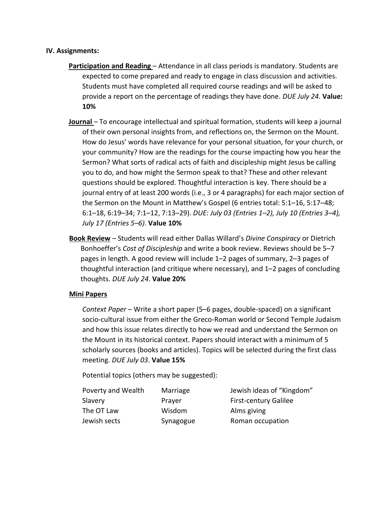#### **IV. Assignments:**

- **Participation and Reading** Attendance in all class periods is mandatory. Students are expected to come prepared and ready to engage in class discussion and activities. Students must have completed all required course readings and will be asked to provide a report on the percentage of readings they have done. *DUE July 24*. **Value: 10%**
- **Journal**  To encourage intellectual and spiritual formation, students will keep a journal of their own personal insights from, and reflections on, the Sermon on the Mount. How do Jesus' words have relevance for your personal situation, for your church, or your community? How are the readings for the course impacting how you hear the Sermon? What sorts of radical acts of faith and discipleship might Jesus be calling you to do, and how might the Sermon speak to that? These and other relevant questions should be explored. Thoughtful interaction is key. There should be a journal entry of at least 200 words (i.e., 3 or 4 paragraphs) for each major section of the Sermon on the Mount in Matthew's Gospel (6 entries total: 5:1–16, 5:17–48; 6:1–18, 6:19–34; 7:1–12, 7:13–29). *DUE: July 03 (Entries 1–2), July 10 (Entries 3–4), July 17 (Entries 5–6)*. **Value 10%**
- **Book Review** Students will read either Dallas Willard's *Divine Conspiracy* or Dietrich Bonhoeffer's *Cost of Discipleship* and write a book review. Reviews should be 5–7 pages in length. A good review will include 1–2 pages of summary, 2–3 pages of thoughtful interaction (and critique where necessary), and 1–2 pages of concluding thoughts. *DUE July 24*. **Value 20%**

## **Mini Papers**

*Context Paper* – Write a short paper (5–6 pages, double-spaced) on a significant socio-cultural issue from either the Greco-Roman world or Second Temple Judaism and how this issue relates directly to how we read and understand the Sermon on the Mount in its historical context. Papers should interact with a minimum of 5 scholarly sources (books and articles). Topics will be selected during the first class meeting. *DUE July 03*. **Value 15%**

Potential topics (others may be suggested):

| Poverty and Wealth | Marriage  |
|--------------------|-----------|
| Slavery            | Prayer    |
| The OT Law         | Wisdom    |
| Jewish sects       | Synagogue |

Jewish ideas of "Kingdom" First-century Galilee Alms giving Roman occupation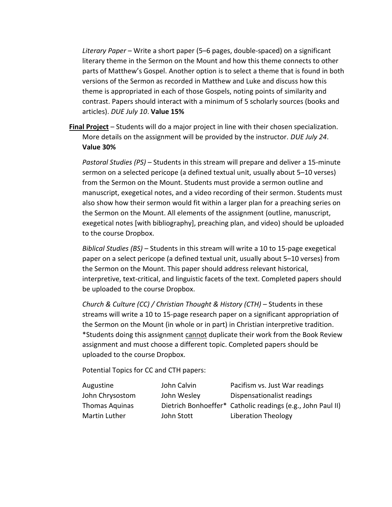*Literary Paper* – Write a short paper (5–6 pages, double-spaced) on a significant literary theme in the Sermon on the Mount and how this theme connects to other parts of Matthew's Gospel. Another option is to select a theme that is found in both versions of the Sermon as recorded in Matthew and Luke and discuss how this theme is appropriated in each of those Gospels, noting points of similarity and contrast. Papers should interact with a minimum of 5 scholarly sources (books and articles). *DUE July 10*. **Value 15%**

**Final Project** – Students will do a major project in line with their chosen specialization. More details on the assignment will be provided by the instructor. *DUE July 24*. **Value 30%**

*Pastoral Studies (PS)* – Students in this stream will prepare and deliver a 15-minute sermon on a selected pericope (a defined textual unit, usually about 5–10 verses) from the Sermon on the Mount. Students must provide a sermon outline and manuscript, exegetical notes, and a video recording of their sermon. Students must also show how their sermon would fit within a larger plan for a preaching series on the Sermon on the Mount. All elements of the assignment (outline, manuscript, exegetical notes [with bibliography], preaching plan, and video) should be uploaded to the course Dropbox.

*Biblical Studies (BS)* – Students in this stream will write a 10 to 15-page exegetical paper on a select pericope (a defined textual unit, usually about 5–10 verses) from the Sermon on the Mount. This paper should address relevant historical, interpretive, text-critical, and linguistic facets of the text. Completed papers should be uploaded to the course Dropbox.

*Church & Culture (CC) / Christian Thought & History (CTH)* – Students in these streams will write a 10 to 15-page research paper on a significant appropriation of the Sermon on the Mount (in whole or in part) in Christian interpretive tradition. \*Students doing this assignment cannot duplicate their work from the Book Review assignment and must choose a different topic. Completed papers should be uploaded to the course Dropbox.

Potential Topics for CC and CTH papers:

| Augustine       | John Calvin | Pacifism vs. Just War readings                              |
|-----------------|-------------|-------------------------------------------------------------|
| John Chrysostom | John Wesley | Dispensationalist readings                                  |
| Thomas Aquinas  |             | Dietrich Bonhoeffer* Catholic readings (e.g., John Paul II) |
| Martin Luther   | John Stott  | Liberation Theology                                         |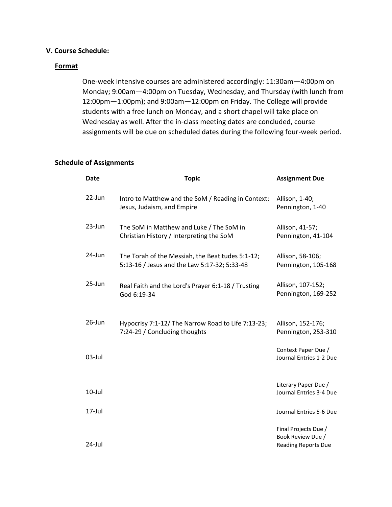## **V. Course Schedule:**

#### **Format**

One-week intensive courses are administered accordingly: 11:30am—4:00pm on Monday; 9:00am—4:00pm on Tuesday, Wednesday, and Thursday (with lunch from 12:00pm—1:00pm); and 9:00am—12:00pm on Friday. The College will provide students with a free lunch on Monday, and a short chapel will take place on Wednesday as well. After the in-class meeting dates are concluded, course assignments will be due on scheduled dates during the following four-week period.

### **Schedule of Assignments**

| <b>Date</b> | <b>Topic</b>                                                                                     | <b>Assignment Due</b>                                                   |
|-------------|--------------------------------------------------------------------------------------------------|-------------------------------------------------------------------------|
| $22$ -Jun   | Intro to Matthew and the SoM / Reading in Context:<br>Jesus, Judaism, and Empire                 | Allison, 1-40;<br>Pennington, 1-40                                      |
| 23-Jun      | The SoM in Matthew and Luke / The SoM in<br>Christian History / Interpreting the SoM             | Allison, 41-57;<br>Pennington, 41-104                                   |
| 24-Jun      | The Torah of the Messiah, the Beatitudes 5:1-12;<br>5:13-16 / Jesus and the Law 5:17-32; 5:33-48 | Allison, 58-106;<br>Pennington, 105-168                                 |
| 25-Jun      | Real Faith and the Lord's Prayer 6:1-18 / Trusting<br>God 6:19-34                                | Allison, 107-152;<br>Pennington, 169-252                                |
| $26$ -Jun   | Hypocrisy 7:1-12/ The Narrow Road to Life 7:13-23;<br>7:24-29 / Concluding thoughts              | Allison, 152-176;<br>Pennington, 253-310                                |
| $03$ -Jul   |                                                                                                  | Context Paper Due /<br>Journal Entries 1-2 Due                          |
| $10$ -Jul   |                                                                                                  | Literary Paper Due /<br>Journal Entries 3-4 Due                         |
| $17 -$ Jul  |                                                                                                  | Journal Entries 5-6 Due                                                 |
| 24-Jul      |                                                                                                  | Final Projects Due /<br>Book Review Due /<br><b>Reading Reports Due</b> |